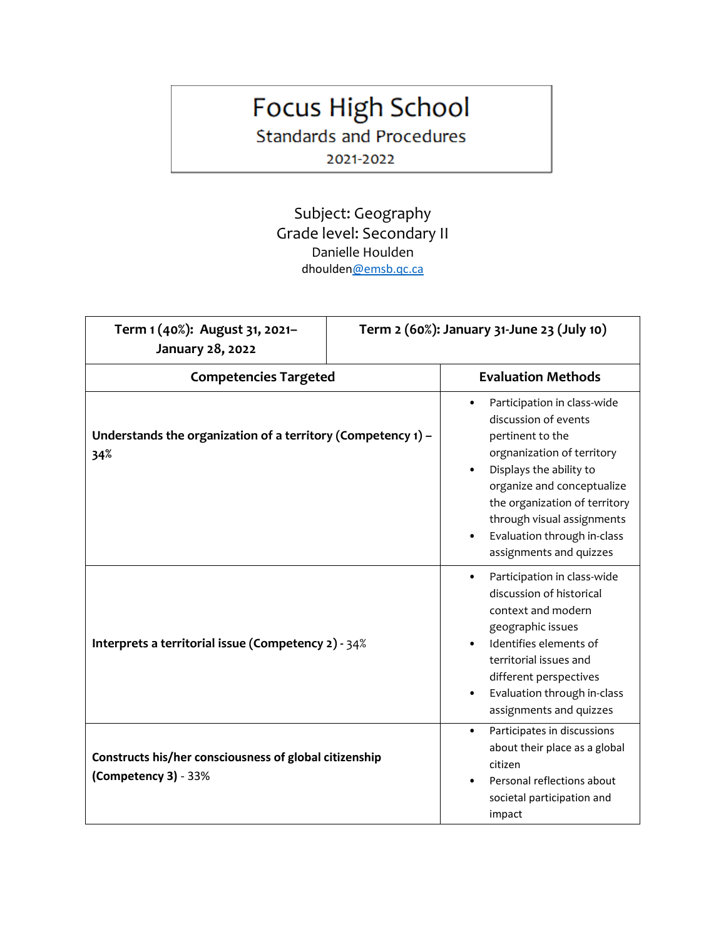## Focus High School

**Standards and Procedures** 

2021-2022

Subject: Geography Grade level: Secondary II Danielle Houlden dhoulde[n@emsb.qc.ca](mailto:Nwilliams@emsb.qc.ca)

| Term 1 (40%): August 31, 2021-<br>January 28, 2022                             | Term 2 (60%): January 31-June 23 (July 10) |                                                                                                                                                                                                                                                                                                                   |
|--------------------------------------------------------------------------------|--------------------------------------------|-------------------------------------------------------------------------------------------------------------------------------------------------------------------------------------------------------------------------------------------------------------------------------------------------------------------|
| <b>Competencies Targeted</b>                                                   |                                            | <b>Evaluation Methods</b>                                                                                                                                                                                                                                                                                         |
| Understands the organization of a territory (Competency $1$ ) –<br>34%         |                                            | Participation in class-wide<br>$\bullet$<br>discussion of events<br>pertinent to the<br>orgnanization of territory<br>Displays the ability to<br>organize and conceptualize<br>the organization of territory<br>through visual assignments<br>Evaluation through in-class<br>$\bullet$<br>assignments and quizzes |
| Interprets a territorial issue (Competency 2) - 34%                            |                                            | Participation in class-wide<br>$\bullet$<br>discussion of historical<br>context and modern<br>geographic issues<br>Identifies elements of<br>territorial issues and<br>different perspectives<br>Evaluation through in-class<br>$\bullet$<br>assignments and quizzes                                              |
| Constructs his/her consciousness of global citizenship<br>(Competency 3) - 33% |                                            | Participates in discussions<br>$\bullet$<br>about their place as a global<br>citizen<br>Personal reflections about<br>societal participation and<br>impact                                                                                                                                                        |